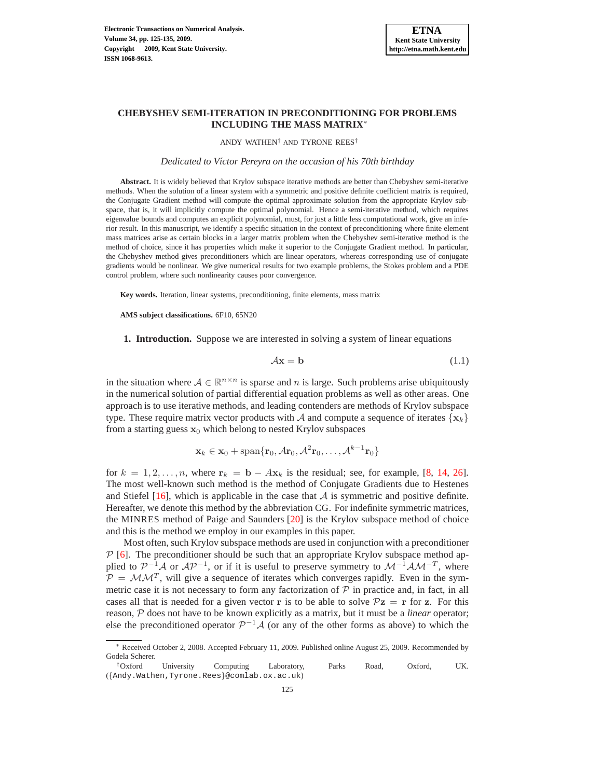

# **CHEBYSHEV SEMI-ITERATION IN PRECONDITIONING FOR PROBLEMS INCLUDING THE MASS MATRIX**<sup>∗</sup>

ANDY WATHEN† AND TYRONE REES†

*Dedicated to V´ıctor Pereyra on the occasion of his 70th birthday*

**Abstract.** It is widely believed that Krylov subspace iterative methods are better than Chebyshev semi-iterative methods. When the solution of a linear system with a symmetric and positive definite coefficient matrix is required, the Conjugate Gradient method will compute the optimal approximate solution from the appropriate Krylov subspace, that is, it will implicitly compute the optimal polynomial. Hence a semi-iterative method, which requires eigenvalue bounds and computes an explicit polynomial, must, for just a little less computational work, give an inferior result. In this manuscript, we identify a specific situation in the context of preconditioning where finite element mass matrices arise as certain blocks in a larger matrix problem when the Chebyshev semi-iterative method is the method of choice, since it has properties which make it superior to the Conjugate Gradient method. In particular, the Chebyshev method gives preconditioners which are linear operators, whereas corresponding use of conjugate gradients would be nonlinear. We give numerical results for two example problems, the Stokes problem and a PDE control problem, where such nonlinearity causes poor convergence.

**Key words.** Iteration, linear systems, preconditioning, finite elements, mass matrix

**AMS subject classifications.** 6F10, 65N20

**1. Introduction.** Suppose we are interested in solving a system of linear equations

<span id="page-0-0"></span>
$$
A\mathbf{x} = \mathbf{b} \tag{1.1}
$$

in the situation where  $A \in \mathbb{R}^{n \times n}$  is sparse and n is large. Such problems arise ubiquitously in the numerical solution of partial differential equation problems as well as other areas. One approach is to use iterative methods, and leading contenders are methods of Krylov subspace type. These require matrix vector products with A and compute a sequence of iterates  $\{x_k\}$ from a starting guess  $x_0$  which belong to nested Krylov subspaces

$$
\mathbf{x}_k \in \mathbf{x}_0 + \mathrm{span}\{\mathbf{r}_0, \mathcal{A}\mathbf{r}_0, \mathcal{A}^2\mathbf{r}_0, \dots, \mathcal{A}^{k-1}\mathbf{r}_0\}
$$

for  $k = 1, 2, \ldots, n$ , where  $\mathbf{r}_k = \mathbf{b} - A\mathbf{x}_k$  is the residual; see, for example, [\[8,](#page-9-0) [14,](#page-9-1) [26](#page-9-2)]. The most well-known such method is the method of Conjugate Gradients due to Hestenes and Stiefel  $[16]$ , which is applicable in the case that A is symmetric and positive definite. Hereafter, we denote this method by the abbreviation CG. For indefinite symmetric matrices, the MINRES method of Paige and Saunders [\[20](#page-9-4)] is the Krylov subspace method of choice and this is the method we employ in our examples in this paper.

Most often, such Krylov subspace methods are used in conjunction with a preconditioner  $\mathcal P$  [\[6](#page-9-5)]. The preconditioner should be such that an appropriate Krylov subspace method applied to  $\mathcal{P}^{-1}\mathcal{A}$  or  $\mathcal{AP}^{-1}$ , or if it is useful to preserve symmetry to  $\mathcal{M}^{-1}\mathcal{AM}^{-T}$ , where  $P = MM^T$ , will give a sequence of iterates which converges rapidly. Even in the symmetric case it is not necessary to form any factorization of  $P$  in practice and, in fact, in all cases all that is needed for a given vector r is to be able to solve  $\mathcal{P}z = r$  for z. For this reason, P does not have to be known explicitly as a matrix, but it must be a *linear* operator; else the preconditioned operator  $\mathcal{P}^{-1}\mathcal{A}$  (or any of the other forms as above) to which the

<sup>∗</sup> Received October 2, 2008. Accepted February 11, 2009. Published online August 25, 2009. Recommended by Godela Scherer.

<sup>†</sup>Oxford University Computing Laboratory, Parks Road, Oxford, UK. ({Andy.Wathen,Tyrone.Rees}@comlab.ox.ac.uk)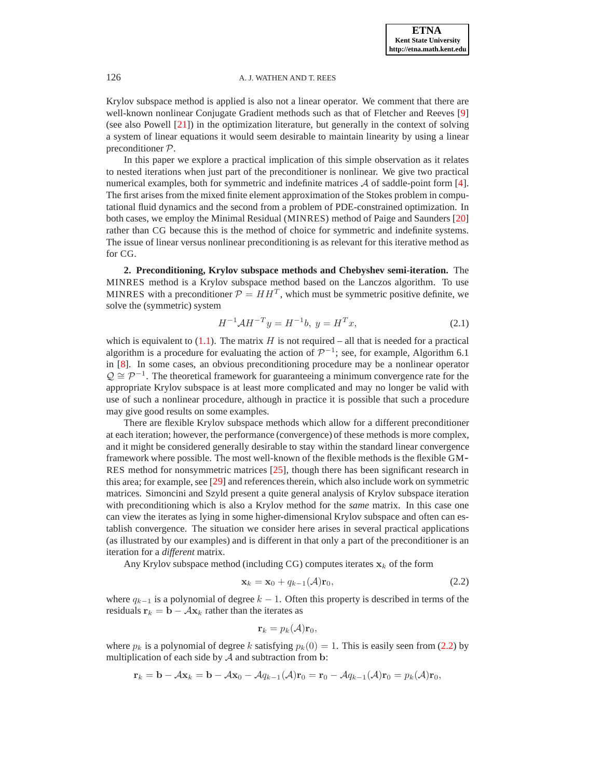Krylov subspace method is applied is also not a linear operator. We comment that there are well-known nonlinear Conjugate Gradient methods such as that of Fletcher and Reeves [\[9\]](#page-9-6) (see also Powell [\[21](#page-9-7)]) in the optimization literature, but generally in the context of solving a system of linear equations it would seem desirable to maintain linearity by using a linear preconditioner P.

In this paper we explore a practical implication of this simple observation as it relates to nested iterations when just part of the preconditioner is nonlinear. We give two practical numerical examples, both for symmetric and indefinite matrices  $\mathcal A$  of saddle-point form [\[4](#page-9-8)]. The first arises from the mixed finite element approximation of the Stokes problem in computational fluid dynamics and the second from a problem of PDE-constrained optimization. In both cases, we employ the Minimal Residual (MINRES) method of Paige and Saunders [\[20\]](#page-9-4) rather than CG because this is the method of choice for symmetric and indefinite systems. The issue of linear versus nonlinear preconditioning is as relevant for this iterative method as for CG.

**2. Preconditioning, Krylov subspace methods and Chebyshev semi-iteration.** The MINRES method is a Krylov subspace method based on the Lanczos algorithm. To use MINRES with a preconditioner  $P = HH^T$ , which must be symmetric positive definite, we solve the (symmetric) system

$$
H^{-1} \mathcal{A} H^{-T} y = H^{-1} b, \ y = H^{T} x,
$$
\n(2.1)

which is equivalent to  $(1.1)$ . The matrix H is not required – all that is needed for a practical algorithm is a procedure for evaluating the action of  $\mathcal{P}^{-1}$ ; see, for example, Algorithm 6.1 in [\[8\]](#page-9-0). In some cases, an obvious preconditioning procedure may be a nonlinear operator  $Q \cong \mathcal{P}^{-1}$ . The theoretical framework for guaranteeing a minimum convergence rate for the appropriate Krylov subspace is at least more complicated and may no longer be valid with use of such a nonlinear procedure, although in practice it is possible that such a procedure may give good results on some examples.

There are flexible Krylov subspace methods which allow for a different preconditioner at each iteration; however, the performance (convergence) of these methods is more complex, and it might be considered generally desirable to stay within the standard linear convergence framework where possible. The most well-known of the flexible methods is the flexible GM-RES method for nonsymmetric matrices [\[25\]](#page-9-9), though there has been significant research in this area; for example, see [\[29\]](#page-10-0) and references therein, which also include work on symmetric matrices. Simoncini and Szyld present a quite general analysis of Krylov subspace iteration with preconditioning which is also a Krylov method for the *same* matrix. In this case one can view the iterates as lying in some higher-dimensional Krylov subspace and often can establish convergence. The situation we consider here arises in several practical applications (as illustrated by our examples) and is different in that only a part of the preconditioner is an iteration for a *different* matrix.

Any Krylov subspace method (including CG) computes iterates  $x_k$  of the form

<span id="page-1-0"></span>
$$
\mathbf{x}_k = \mathbf{x}_0 + q_{k-1}(\mathcal{A})\mathbf{r}_0,\tag{2.2}
$$

where  $q_{k-1}$  is a polynomial of degree  $k-1$ . Often this property is described in terms of the residuals  $\mathbf{r}_k = \mathbf{b} - A\mathbf{x}_k$  rather than the iterates as

$$
\mathbf{r}_k = p_k(\mathcal{A})\mathbf{r}_0,
$$

where  $p_k$  is a polynomial of degree k satisfying  $p_k(0) = 1$ . This is easily seen from [\(2.2\)](#page-1-0) by multiplication of each side by  $A$  and subtraction from  $b$ :

$$
\mathbf{r}_k = \mathbf{b} - A\mathbf{x}_k = \mathbf{b} - A\mathbf{x}_0 - Aq_{k-1}(A)\mathbf{r}_0 = \mathbf{r}_0 - Aq_{k-1}(A)\mathbf{r}_0 = p_k(A)\mathbf{r}_0,
$$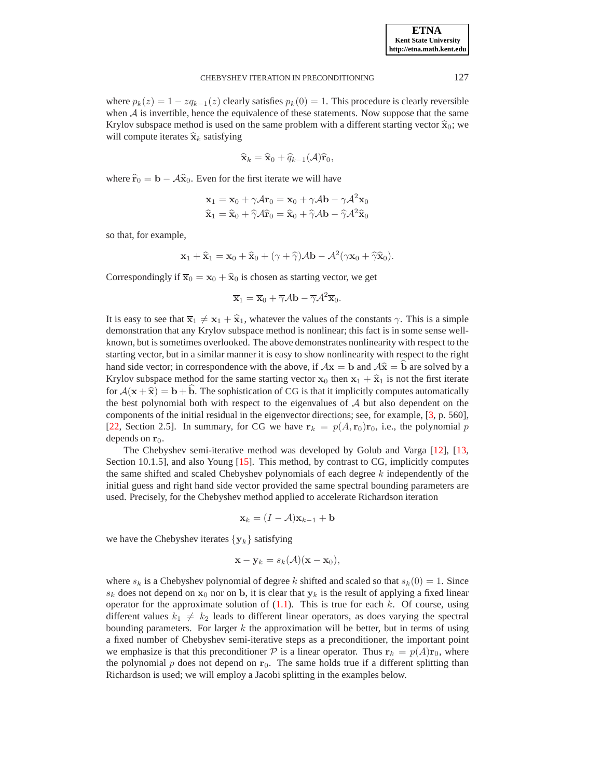where  $p_k(z) = 1 - zq_{k-1}(z)$  clearly satisfies  $p_k(0) = 1$ . This procedure is clearly reversible when  $A$  is invertible, hence the equivalence of these statements. Now suppose that the same Krylov subspace method is used on the same problem with a different starting vector  $\hat{\mathbf{x}}_0$ ; we will compute iterates  $\hat{\mathbf{x}}_k$  satisfying

$$
\widehat{\mathbf{x}}_k = \widehat{\mathbf{x}}_0 + \widehat{q}_{k-1}(\mathcal{A})\widehat{\mathbf{r}}_0,
$$

where  $\hat{\mathbf{r}}_0 = \mathbf{b} - \mathcal{A}\hat{\mathbf{x}}_0$ . Even for the first iterate we will have

$$
\mathbf{x}_1 = \mathbf{x}_0 + \gamma \mathcal{A} \mathbf{r}_0 = \mathbf{x}_0 + \gamma \mathcal{A} \mathbf{b} - \gamma \mathcal{A}^2 \mathbf{x}_0
$$
  

$$
\hat{\mathbf{x}}_1 = \hat{\mathbf{x}}_0 + \hat{\gamma} \mathcal{A} \hat{\mathbf{r}}_0 = \hat{\mathbf{x}}_0 + \hat{\gamma} \mathcal{A} \mathbf{b} - \hat{\gamma} \mathcal{A}^2 \hat{\mathbf{x}}_0
$$

so that, for example,

$$
\mathbf{x}_1 + \widehat{\mathbf{x}}_1 = \mathbf{x}_0 + \widehat{\mathbf{x}}_0 + (\gamma + \widehat{\gamma})\mathcal{A}\mathbf{b} - \mathcal{A}^2(\gamma\mathbf{x}_0 + \widehat{\gamma}\widehat{\mathbf{x}}_0).
$$

Correspondingly if  $\overline{\mathbf{x}}_0 = \mathbf{x}_0 + \hat{\mathbf{x}}_0$  is chosen as starting vector, we get

$$
\overline{\mathbf{x}}_1 = \overline{\mathbf{x}}_0 + \overline{\gamma} \mathcal{A} \mathbf{b} - \overline{\gamma} \mathcal{A}^2 \overline{\mathbf{x}}_0.
$$

It is easy to see that  $\overline{\mathbf{x}}_1 \neq \mathbf{x}_1 + \hat{\mathbf{x}}_1$ , whatever the values of the constants  $\gamma$ . This is a simple demonstration that any Krylov subspace method is nonlinear; this fact is in some sense wellknown, but is sometimes overlooked. The above demonstrates nonlinearity with respect to the starting vector, but in a similar manner it is easy to show nonlinearity with respect to the right hand side vector; in correspondence with the above, if  $A\mathbf{x} = \mathbf{b}$  and  $A\hat{\mathbf{x}} = \hat{\mathbf{b}}$  are solved by a Krylov subspace method for the same starting vector  $x_0$  then  $x_1 + \hat{x}_1$  is not the first iterate for  $A(x + \hat{x}) = b + b$ . The sophistication of CG is that it implicitly computes automatically the best polynomial both with respect to the eigenvalues of  $A$  but also dependent on the components of the initial residual in the eigenvector directions; see, for example, [\[3](#page-9-10), p. 560], [\[22](#page-9-11), Section 2.5]. In summary, for CG we have  $r_k = p(A, r_0)r_0$ , i.e., the polynomial p depends on  $r_0$ .

The Chebyshev semi-iterative method was developed by Golub and Varga [\[12\]](#page-9-12), [\[13](#page-9-13), Section 10.1.5], and also Young [\[15](#page-9-14)]. This method, by contrast to CG, implicitly computes the same shifted and scaled Chebyshev polynomials of each degree  $k$  independently of the initial guess and right hand side vector provided the same spectral bounding parameters are used. Precisely, for the Chebyshev method applied to accelerate Richardson iteration

$$
\mathbf{x}_k = (I - \mathcal{A})\mathbf{x}_{k-1} + \mathbf{b}
$$

we have the Chebyshev iterates  $\{y_k\}$  satisfying

$$
\mathbf{x} - \mathbf{y}_k = s_k(\mathcal{A})(\mathbf{x} - \mathbf{x}_0),
$$

where  $s_k$  is a Chebyshev polynomial of degree k shifted and scaled so that  $s_k(0) = 1$ . Since  $s_k$  does not depend on  $x_0$  nor on b, it is clear that  $y_k$  is the result of applying a fixed linear operator for the approximate solution of  $(1.1)$ . This is true for each k. Of course, using different values  $k_1 \neq k_2$  leads to different linear operators, as does varying the spectral bounding parameters. For larger  $k$  the approximation will be better, but in terms of using a fixed number of Chebyshev semi-iterative steps as a preconditioner, the important point we emphasize is that this preconditioner  $\mathcal P$  is a linear operator. Thus  ${\bf r}_k = p(A) {\bf r}_0$ , where the polynomial  $p$  does not depend on  $r_0$ . The same holds true if a different splitting than Richardson is used; we will employ a Jacobi splitting in the examples below.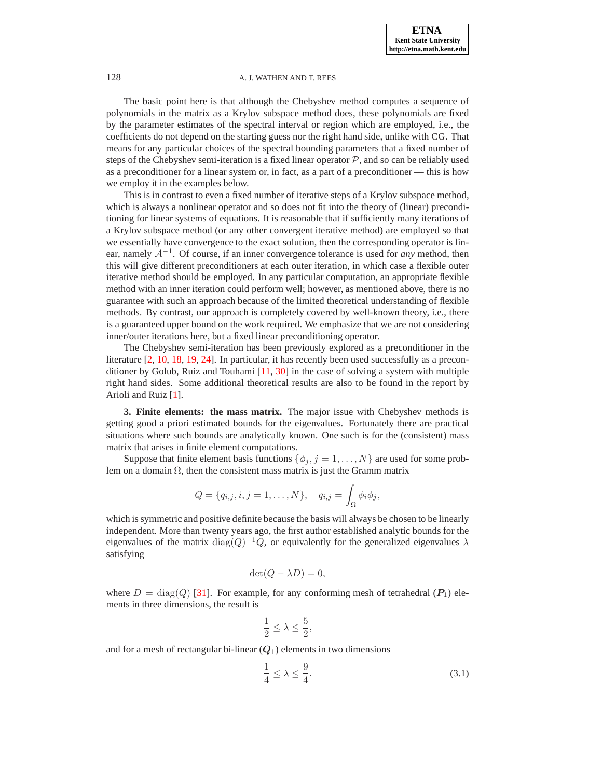The basic point here is that although the Chebyshev method computes a sequence of polynomials in the matrix as a Krylov subspace method does, these polynomials are fixed by the parameter estimates of the spectral interval or region which are employed, i.e., the coefficients do not depend on the starting guess nor the right hand side, unlike with CG. That means for any particular choices of the spectral bounding parameters that a fixed number of steps of the Chebyshev semi-iteration is a fixed linear operator  $P$ , and so can be reliably used as a preconditioner for a linear system or, in fact, as a part of a preconditioner — this is how we employ it in the examples below.

This is in contrast to even a fixed number of iterative steps of a Krylov subspace method, which is always a nonlinear operator and so does not fit into the theory of (linear) preconditioning for linear systems of equations. It is reasonable that if sufficiently many iterations of a Krylov subspace method (or any other convergent iterative method) are employed so that we essentially have convergence to the exact solution, then the corresponding operator is linear, namely <sup>A</sup><sup>−</sup><sup>1</sup> . Of course, if an inner convergence tolerance is used for *any* method, then this will give different preconditioners at each outer iteration, in which case a flexible outer iterative method should be employed. In any particular computation, an appropriate flexible method with an inner iteration could perform well; however, as mentioned above, there is no guarantee with such an approach because of the limited theoretical understanding of flexible methods. By contrast, our approach is completely covered by well-known theory, i.e., there is a guaranteed upper bound on the work required. We emphasize that we are not considering inner/outer iterations here, but a fixed linear preconditioning operator.

The Chebyshev semi-iteration has been previously explored as a preconditioner in the literature [\[2,](#page-9-15) [10,](#page-9-16) [18,](#page-9-17) [19,](#page-9-18) [24\]](#page-9-19). In particular, it has recently been used successfully as a preconditioner by Golub, Ruiz and Touhami [\[11](#page-9-20), [30\]](#page-10-1) in the case of solving a system with multiple right hand sides. Some additional theoretical results are also to be found in the report by Arioli and Ruiz [\[1\]](#page-9-21).

<span id="page-3-1"></span>**3. Finite elements: the mass matrix.** The major issue with Chebyshev methods is getting good a priori estimated bounds for the eigenvalues. Fortunately there are practical situations where such bounds are analytically known. One such is for the (consistent) mass matrix that arises in finite element computations.

Suppose that finite element basis functions  $\{\phi_j, j = 1, \ldots, N\}$  are used for some problem on a domain  $\Omega$ , then the consistent mass matrix is just the Gramm matrix

$$
Q = \{q_{i,j}, i, j = 1, \ldots, N\}, \quad q_{i,j} = \int_{\Omega} \phi_i \phi_j,
$$

which is symmetric and positive definite because the basis will always be chosen to be linearly independent. More than twenty years ago, the first author established analytic bounds for the eigenvalues of the matrix  $\text{diag}(Q)^{-1}Q$ , or equivalently for the generalized eigenvalues  $\lambda$ satisfying

$$
\det(Q - \lambda D) = 0,
$$

where  $D = \text{diag}(Q)$  [\[31](#page-10-2)]. For example, for any conforming mesh of tetrahedral  $(P_1)$  elements in three dimensions, the result is

$$
\frac{1}{2} \le \lambda \le \frac{5}{2},
$$

and for a mesh of rectangular bi-linear  $(Q_1)$  elements in two dimensions

<span id="page-3-0"></span>
$$
\frac{1}{4} \le \lambda \le \frac{9}{4}.\tag{3.1}
$$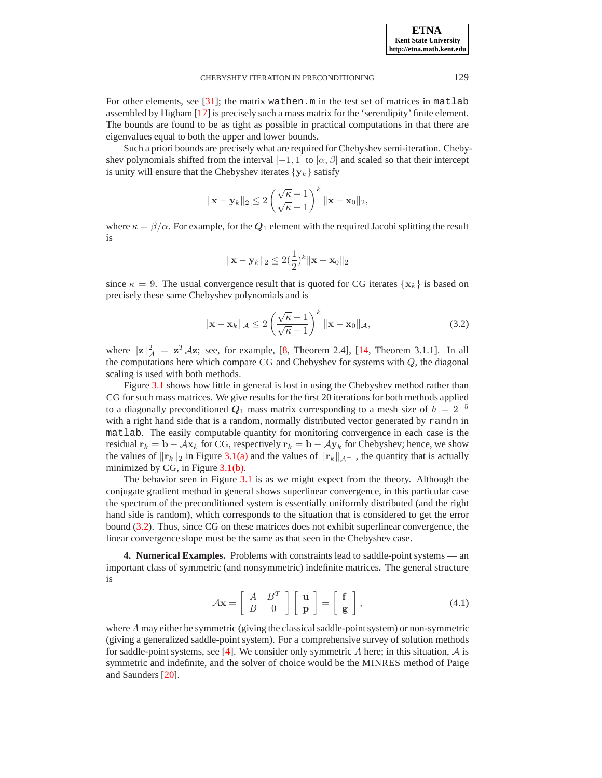For other elements, see  $[31]$ ; the matrix wathen.m in the test set of matrices in matlab assembled by Higham [\[17\]](#page-9-22) is precisely such a mass matrix for the 'serendipity' finite element. The bounds are found to be as tight as possible in practical computations in that there are eigenvalues equal to both the upper and lower bounds.

Such a priori bounds are precisely what are required for Chebyshev semi-iteration. Chebyshev polynomials shifted from the interval  $[-1, 1]$  to  $[\alpha, \beta]$  and scaled so that their intercept is unity will ensure that the Chebyshev iterates  $\{y_k\}$  satisfy

$$
\|\mathbf{x}-\mathbf{y}_k\|_2 \leq 2\left(\frac{\sqrt{\kappa}-1}{\sqrt{\kappa}+1}\right)^k \|\mathbf{x}-\mathbf{x}_0\|_2,
$$

where  $\kappa = \beta/\alpha$ . For example, for the  $Q_1$  element with the required Jacobi splitting the result is

$$
\|\mathbf{x} - \mathbf{y}_k\|_2 \le 2(\frac{1}{2})^k \|\mathbf{x} - \mathbf{x}_0\|_2
$$

since  $\kappa = 9$ . The usual convergence result that is quoted for CG iterates  $\{x_k\}$  is based on precisely these same Chebyshev polynomials and is

<span id="page-4-0"></span>
$$
\|\mathbf{x} - \mathbf{x}_k\|_{\mathcal{A}} \le 2\left(\frac{\sqrt{\kappa} - 1}{\sqrt{\kappa} + 1}\right)^k \|\mathbf{x} - \mathbf{x}_0\|_{\mathcal{A}},\tag{3.2}
$$

where  $||\mathbf{z}||_{\mathcal{A}}^2 = \mathbf{z}^T \mathcal{A} \mathbf{z}$ ; see, for example, [\[8](#page-9-0), Theorem 2.4], [\[14,](#page-9-1) Theorem 3.1.1]. In all the computations here which compare CG and Chebyshev for systems with Q, the diagonal scaling is used with both methods.

Figure [3.1](#page-5-0) shows how little in general is lost in using the Chebyshev method rather than CG for such mass matrices. We give results for the first 20 iterations for both methods applied to a diagonally preconditioned  $Q_1$  mass matrix corresponding to a mesh size of  $h = 2^{-5}$ with a right hand side that is a random, normally distributed vector generated by randn in matlab. The easily computable quantity for monitoring convergence in each case is the residual  $r_k = b - Ax_k$  for CG, respectively  $r_k = b - Ay_k$  for Chebyshev; hence, we show the values of  $||\mathbf{r}_k||_2$  in Figure [3.1\(a\)](#page-5-1) and the values of  $||\mathbf{r}_k||_{\mathcal{A}^{-1}}$ , the quantity that is actually minimized by CG, in Figure [3.1\(b\).](#page-5-2)

The behavior seen in Figure [3.1](#page-5-0) is as we might expect from the theory. Although the conjugate gradient method in general shows superlinear convergence, in this particular case the spectrum of the preconditioned system is essentially uniformly distributed (and the right hand side is random), which corresponds to the situation that is considered to get the error bound [\(3.2\)](#page-4-0). Thus, since CG on these matrices does not exhibit superlinear convergence, the linear convergence slope must be the same as that seen in the Chebyshev case.

**4. Numerical Examples.** Problems with constraints lead to saddle-point systems — an important class of symmetric (and nonsymmetric) indefinite matrices. The general structure is

<span id="page-4-1"></span>
$$
\mathcal{A}\mathbf{x} = \left[ \begin{array}{cc} A & B^T \\ B & 0 \end{array} \right] \left[ \begin{array}{c} \mathbf{u} \\ \mathbf{p} \end{array} \right] = \left[ \begin{array}{c} \mathbf{f} \\ \mathbf{g} \end{array} \right],\tag{4.1}
$$

where  $A$  may either be symmetric (giving the classical saddle-point system) or non-symmetric (giving a generalized saddle-point system). For a comprehensive survey of solution methods for saddle-point systems, see [\[4](#page-9-8)]. We consider only symmetric A here; in this situation,  $\mathcal A$  is symmetric and indefinite, and the solver of choice would be the MINRES method of Paige and Saunders [\[20](#page-9-4)].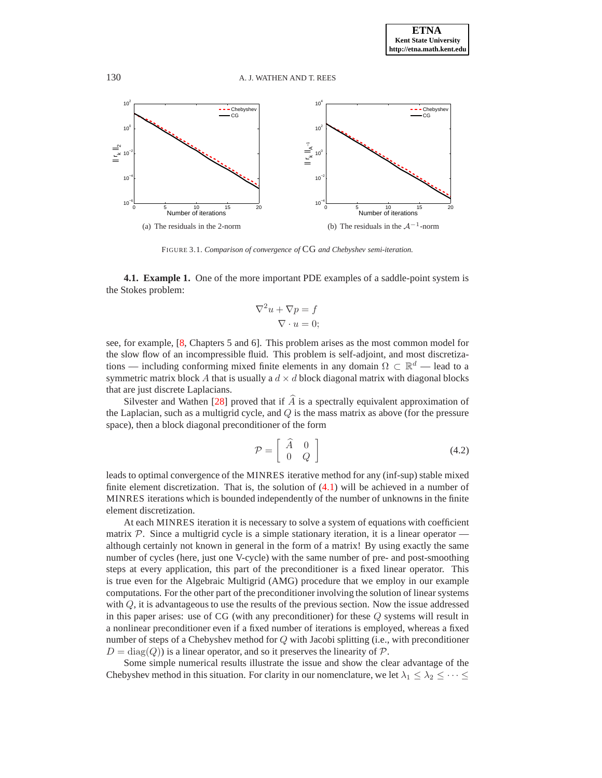<span id="page-5-1"></span>

<span id="page-5-0"></span>FIGURE 3.1. *Comparison of convergence of* CG *and Chebyshev semi-iteration.*

**4.1. Example 1.** One of the more important PDE examples of a saddle-point system is the Stokes problem:

<span id="page-5-2"></span>
$$
\nabla^2 u + \nabla p = f
$$
  

$$
\nabla \cdot u = 0;
$$

see, for example, [\[8,](#page-9-0) Chapters 5 and 6]. This problem arises as the most common model for the slow flow of an incompressible fluid. This problem is self-adjoint, and most discretizations — including conforming mixed finite elements in any domain  $\Omega \subset \mathbb{R}^d$  — lead to a symmetric matrix block A that is usually a  $d \times d$  block diagonal matrix with diagonal blocks that are just discrete Laplacians.

Silvester and Wathen [\[28](#page-10-3)] proved that if  $\hat{A}$  is a spectrally equivalent approximation of the Laplacian, such as a multigrid cycle, and  $Q$  is the mass matrix as above (for the pressure space), then a block diagonal preconditioner of the form

<span id="page-5-3"></span>
$$
\mathcal{P} = \left[ \begin{array}{cc} \widehat{A} & 0 \\ 0 & Q \end{array} \right] \tag{4.2}
$$

leads to optimal convergence of the MINRES iterative method for any (inf-sup) stable mixed finite element discretization. That is, the solution of  $(4.1)$  will be achieved in a number of MINRES iterations which is bounded independently of the number of unknowns in the finite element discretization.

At each MINRES iteration it is necessary to solve a system of equations with coefficient matrix  $P$ . Since a multigrid cycle is a simple stationary iteration, it is a linear operator although certainly not known in general in the form of a matrix! By using exactly the same number of cycles (here, just one V-cycle) with the same number of pre- and post-smoothing steps at every application, this part of the preconditioner is a fixed linear operator. This is true even for the Algebraic Multigrid (AMG) procedure that we employ in our example computations. For the other part of the preconditioner involving the solution of linear systems with  $Q$ , it is advantageous to use the results of the previous section. Now the issue addressed in this paper arises: use of CG (with any preconditioner) for these Q systems will result in a nonlinear preconditioner even if a fixed number of iterations is employed, whereas a fixed number of steps of a Chebyshev method for Q with Jacobi splitting (i.e., with preconditioner  $D = diag(Q)$  is a linear operator, and so it preserves the linearity of P.

Some simple numerical results illustrate the issue and show the clear advantage of the Chebyshev method in this situation. For clarity in our nomenclature, we let  $\lambda_1 \leq \lambda_2 \leq \cdots \leq$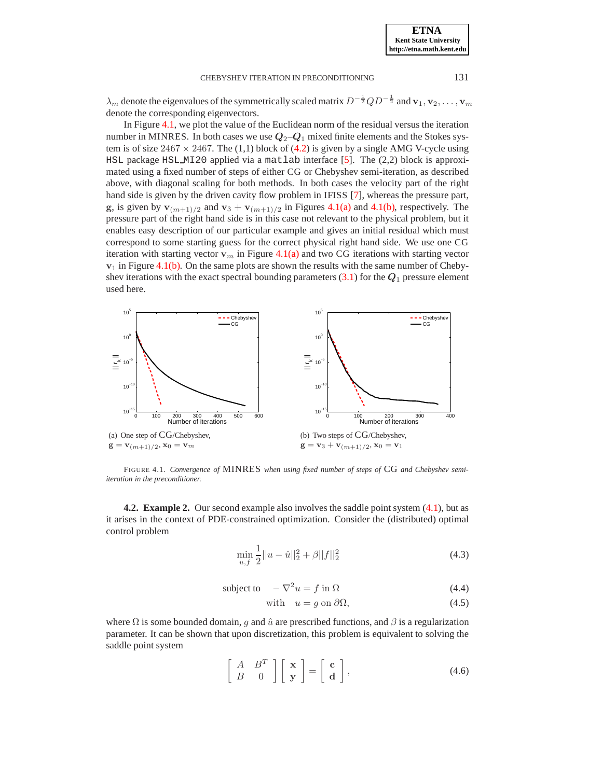**ETNA**

## CHEBYSHEV ITERATION IN PRECONDITIONING 131

 $\lambda_m$  denote the eigenvalues of the symmetrically scaled matrix  $D^{-\frac{1}{2}}QD^{-\frac{1}{2}}$  and  $\mathbf{v}_1, \mathbf{v}_2, \dots, \mathbf{v}_m$ denote the corresponding eigenvectors.

In Figure [4.1,](#page-6-0) we plot the value of the Euclidean norm of the residual versus the iteration number in MINRES. In both cases we use  $Q_2 - Q_1$  mixed finite elements and the Stokes system is of size  $2467 \times 2467$ . The (1,1) block of [\(4.2\)](#page-5-3) is given by a single AMG V-cycle using HSL package HSL MI20 applied via a matlab interface [\[5](#page-9-23)]. The (2,2) block is approximated using a fixed number of steps of either CG or Chebyshev semi-iteration, as described above, with diagonal scaling for both methods. In both cases the velocity part of the right hand side is given by the driven cavity flow problem in IFISS [\[7\]](#page-9-24), whereas the pressure part, g, is given by  $\mathbf{v}_{(m+1)/2}$  and  $\mathbf{v}_3 + \mathbf{v}_{(m+1)/2}$  in Figures [4.1\(a\)](#page-6-1) and [4.1\(b\),](#page-6-2) respectively. The pressure part of the right hand side is in this case not relevant to the physical problem, but it enables easy description of our particular example and gives an initial residual which must correspond to some starting guess for the correct physical right hand side. We use one CG iteration with starting vector  $v_m$  in Figure [4.1\(a\)](#page-6-1) and two CG iterations with starting vector  $v_1$  in Figure [4.1\(b\).](#page-6-2) On the same plots are shown the results with the same number of Chebyshev iterations with the exact spectral bounding parameters  $(3.1)$  for the  $Q_1$  pressure element used here.

<span id="page-6-1"></span>

<span id="page-6-0"></span>FIGURE 4.1. *Convergence of* MINRES *when using fixed number of steps of* CG *and Chebyshev semiiteration in the preconditioner.*

**4.2. Example 2.** Our second example also involves the saddle point system [\(4.1\)](#page-4-1), but as it arises in the context of PDE-constrained optimization. Consider the (distributed) optimal control problem

<span id="page-6-2"></span>
$$
\min_{u,f} \frac{1}{2} ||u - \hat{u}||_2^2 + \beta ||f||_2^2 \tag{4.3}
$$

subject to 
$$
-\nabla^2 u = f
$$
 in  $\Omega$  (4.4)

with 
$$
u = g \text{ on } \partial \Omega,
$$
 (4.5)

where  $\Omega$  is some bounded domain, q and  $\hat{u}$  are prescribed functions, and  $\beta$  is a regularization parameter. It can be shown that upon discretization, this problem is equivalent to solving the saddle point system

<span id="page-6-3"></span>
$$
\left[\begin{array}{cc} A & B^T \\ B & 0 \end{array}\right] \left[\begin{array}{c} \mathbf{x} \\ \mathbf{y} \end{array}\right] = \left[\begin{array}{c} \mathbf{c} \\ \mathbf{d} \end{array}\right],\tag{4.6}
$$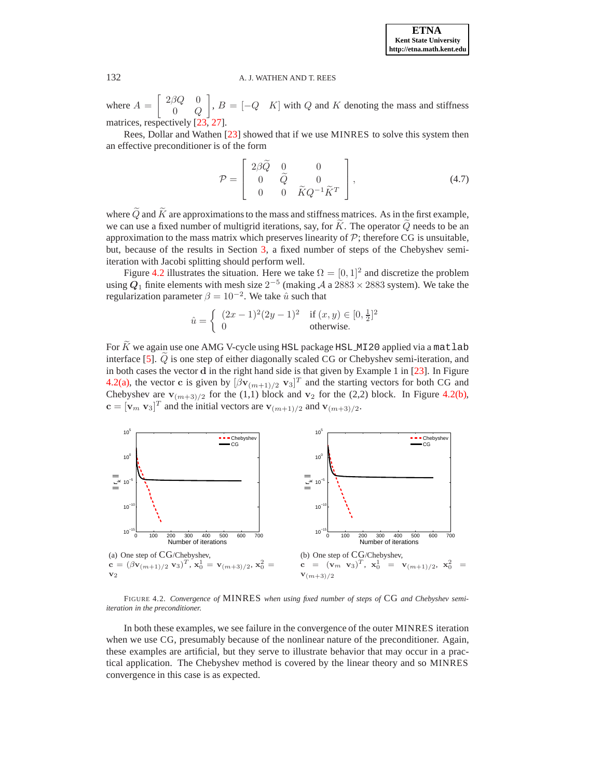where  $A =$  $\sqrt{ }$  $2\beta Q=0$  $0$  Q 1 ,  $B = \begin{bmatrix} -Q & K \end{bmatrix}$  with Q and K denoting the mass and stiffness matrices, respectively [\[23](#page-9-25), [27](#page-9-26)].

Rees, Dollar and Wathen [\[23\]](#page-9-25) showed that if we use MINRES to solve this system then an effective preconditioner is of the form

<span id="page-7-3"></span>
$$
\mathcal{P} = \begin{bmatrix} 2\beta \widetilde{Q} & 0 & 0 \\ 0 & \widetilde{Q} & 0 \\ 0 & 0 & \widetilde{K}Q^{-1}\widetilde{K}^T \end{bmatrix},
$$
(4.7)

where  $\tilde{Q}$  and  $\tilde{K}$  are approximations to the mass and stiffness matrices. As in the first example, we can use a fixed number of multigrid iterations, say, for  $\tilde{K}$ . The operator  $\tilde{Q}$  needs to be an approximation to the mass matrix which preserves linearity of  $P$ ; therefore CG is unsuitable, but, because of the results in Section [3,](#page-3-1) a fixed number of steps of the Chebyshev semiiteration with Jacobi splitting should perform well.

Figure [4.2](#page-7-0) illustrates the situation. Here we take  $\Omega = [0, 1]^2$  and discretize the problem using  $Q_1$  finite elements with mesh size  $2^{-5}$  (making A a  $2883 \times 2883$  system). We take the regularization parameter  $\beta = 10^{-2}$ . We take  $\hat{u}$  such that

$$
\hat{u} = \begin{cases} (2x - 1)^2 (2y - 1)^2 & \text{if } (x, y) \in [0, \frac{1}{2}]^2 \\ 0 & \text{otherwise.} \end{cases}
$$

For  $\tilde{K}$  we again use one AMG V-cycle using HSL package HSL MI20 applied via a matlab interface [\[5\]](#page-9-23).  $Q$  is one step of either diagonally scaled CG or Chebyshev semi-iteration, and in both cases the vector d in the right hand side is that given by Example 1 in [\[23\]](#page-9-25). In Figure [4.2\(a\),](#page-7-1) the vector c is given by  $[\beta v_{(m+1)/2} v_3]^T$  and the starting vectors for both CG and Chebyshev are  $\mathbf{v}_{(m+3)/2}$  for the (1,1) block and  $\mathbf{v}_2$  for the (2,2) block. In Figure [4.2\(b\),](#page-7-2)  $\mathbf{c} = [\mathbf{v}_m \ \mathbf{v}_3]^T$  and the initial vectors are  $\mathbf{v}_{(m+1)/2}$  and  $\mathbf{v}_{(m+3)/2}$ .

<span id="page-7-1"></span>

<span id="page-7-2"></span><span id="page-7-0"></span>FIGURE 4.2. *Convergence of* MINRES *when using fixed number of steps of* CG *and Chebyshev semiiteration in the preconditioner.*

In both these examples, we see failure in the convergence of the outer MINRES iteration when we use CG, presumably because of the nonlinear nature of the preconditioner. Again, these examples are artificial, but they serve to illustrate behavior that may occur in a practical application. The Chebyshev method is covered by the linear theory and so MINRES convergence in this case is as expected.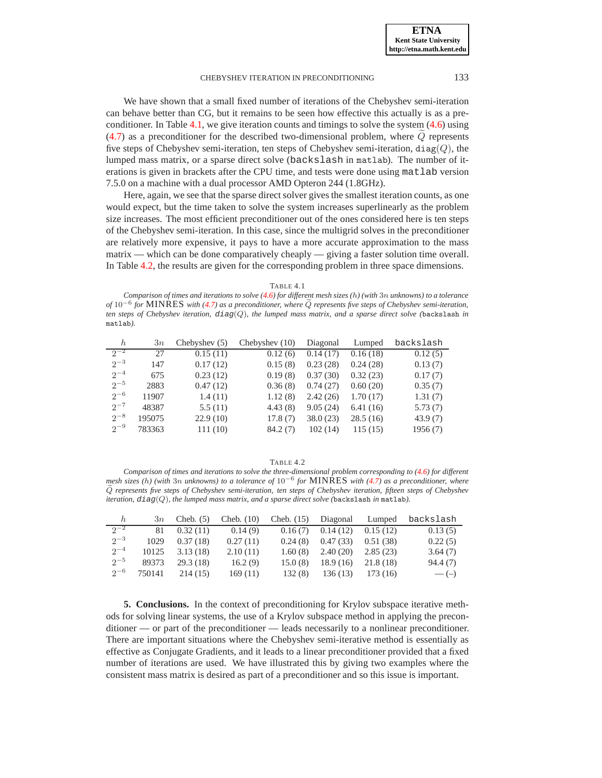## CHEBYSHEV ITERATION IN PRECONDITIONING 133

We have shown that a small fixed number of iterations of the Chebyshev semi-iteration can behave better than CG, but it remains to be seen how effective this actually is as a preconditioner. In Table  $4.1$ , we give iteration counts and timings to solve the system  $(4.6)$  using  $(4.7)$  as a preconditioner for the described two-dimensional problem, where  $Q$  represents five steps of Chebyshev semi-iteration, ten steps of Chebyshev semi-iteration,  $diag(Q)$ , the lumped mass matrix, or a sparse direct solve (backslash in matlab). The number of iterations is given in brackets after the CPU time, and tests were done using matlab version 7.5.0 on a machine with a dual processor AMD Opteron 244 (1.8GHz).

Here, again, we see that the sparse direct solver gives the smallest iteration counts, as one would expect, but the time taken to solve the system increases superlinearly as the problem size increases. The most efficient preconditioner out of the ones considered here is ten steps of the Chebyshev semi-iteration. In this case, since the multigrid solves in the preconditioner are relatively more expensive, it pays to have a more accurate approximation to the mass matrix — which can be done comparatively cheaply — giving a faster solution time overall. In Table [4.2,](#page-8-1) the results are given for the corresponding problem in three space dimensions.

TABLE 4.1

<span id="page-8-0"></span>*Comparison of times and iterations to solve [\(4.6\)](#page-6-3) for different mesh sizes (*h*) (with* 3n *unknowns) to a tolerance of* 10<sup>−6</sup> *for* MINRES *with* [\(4.7\)](#page-7-3) *as a preconditioner, where*  $\tilde{Q}$  *represents five steps of Chebyshev semi-iteration, ten steps of Chebyshev iteration,* diag(Q)*, the lumped mass matrix, and a sparse direct solve (*backslash *in* matlab*).*

| h        | 3n     | Chebyshev $(5)$ | Chebyshev (10) | Diagonal | Lumped   | backslash |
|----------|--------|-----------------|----------------|----------|----------|-----------|
| $2^{-2}$ | 27     | 0.15(11)        | 0.12(6)        | 0.14(17) | 0.16(18) | 0.12(5)   |
| $2^{-3}$ | 147    | 0.17(12)        | 0.15(8)        | 0.23(28) | 0.24(28) | 0.13(7)   |
| $2^{-4}$ | 675    | 0.23(12)        | 0.19(8)        | 0.37(30) | 0.32(23) | 0.17(7)   |
| $2^{-5}$ | 2883   | 0.47(12)        | 0.36(8)        | 0.74(27) | 0.60(20) | 0.35(7)   |
| $2^{-6}$ | 11907  | 1.4(11)         | 1.12(8)        | 2.42(26) | 1.70(17) | 1.31(7)   |
| $2^{-7}$ | 48387  | 5.5(11)         | 4.43(8)        | 9.05(24) | 6.41(16) | 5.73(7)   |
| $2^{-8}$ | 195075 | 22.9(10)        | 17.8(7)        | 38.0(23) | 28.5(16) | 43.9(7)   |
| $2^{-9}$ | 783363 | 111(10)         | 84.2(7)        | 102(14)  | 115(15)  | 1956(7)   |

TABLE 4.2

<span id="page-8-1"></span>*Comparison of times and iterations to solve the three-dimensional problem corresponding to [\(4.6\)](#page-6-3) for different mesh sizes (*h*) (with* 3n *unknowns) to a tolerance of* 10−<sup>6</sup> *for* MINRES *with [\(4.7\)](#page-7-3) as a preconditioner, where* <sup>Q</sup><sup>e</sup> *represents five steps of Chebyshev semi-iteration, ten steps of Chebyshev iteration, fifteen steps of Chebyshev iteration,* diag(Q)*, the lumped mass matrix, and a sparse direct solve (*backslash *in* matlab*).*

| h.       | 3n     | Cheb. $(5)$ | Cheb. $(10)$ | Cheb. $(15)$ |          |          | Diagonal Lumped backslash |
|----------|--------|-------------|--------------|--------------|----------|----------|---------------------------|
| $2^{-2}$ | 81     | 0.32(11)    | 0.14(9)      | 0.16(7)      | 0.14(12) | 0.15(12) | 0.13(5)                   |
| $2^{-3}$ | 1029   | 0.37(18)    | 0.27(11)     | 0.24(8)      | 0.47(33) | 0.51(38) | 0.22(5)                   |
| $2^{-4}$ | 10125  | 3.13(18)    | 2.10(11)     | 1.60(8)      | 2.40(20) | 2.85(23) | 3.64(7)                   |
| $2^{-5}$ | 89373  | 29.3(18)    | 16.2(9)      | 15.0(8)      | 18.9(16) | 21.8(18) | 94.4(7)                   |
| $2^{-6}$ | 750141 | 214(15)     | 169(11)      | 132(8)       | 136(13)  | 173 (16) | $-(-)$                    |

**5. Conclusions.** In the context of preconditioning for Krylov subspace iterative methods for solving linear systems, the use of a Krylov subspace method in applying the preconditioner — or part of the preconditioner — leads necessarily to a nonlinear preconditioner. There are important situations where the Chebyshev semi-iterative method is essentially as effective as Conjugate Gradients, and it leads to a linear preconditioner provided that a fixed number of iterations are used. We have illustrated this by giving two examples where the consistent mass matrix is desired as part of a preconditioner and so this issue is important.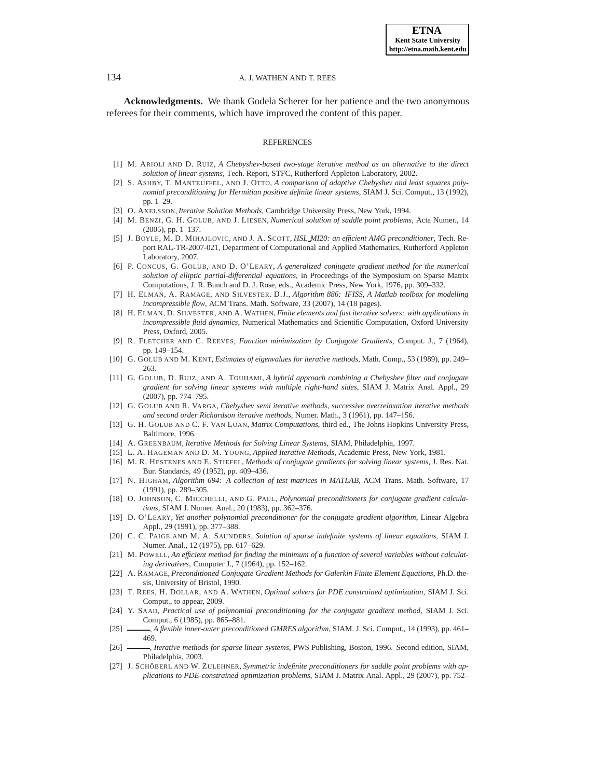**Acknowledgments.** We thank Godela Scherer for her patience and the two anonymous referees for their comments, which have improved the content of this paper.

#### REFERENCES

- <span id="page-9-21"></span>[1] M. ARIOLI AND D. RUIZ, *A Chebyshev-based two-stage iterative method as an alternative to the direct solution of linear systems*, Tech. Report, STFC, Rutherford Appleton Laboratory, 2002.
- <span id="page-9-15"></span>[2] S. ASHBY, T. MANTEUFFEL, AND J. OTTO, *A comparison of adaptive Chebyshev and least squares polynomial preconditioning for Hermitian positive definite linear systems*, SIAM J. Sci. Comput., 13 (1992), pp. 1–29.
- <span id="page-9-10"></span>[3] O. AXELSSON, *Iterative Solution Methods*, Cambridge University Press, New York, 1994.
- <span id="page-9-8"></span>[4] M. BENZI, G. H. GOLUB, AND J. LIESEN, *Numerical solution of saddle point problems*, Acta Numer., 14 (2005), pp. 1–137.
- <span id="page-9-23"></span>[5] J. BOYLE, M. D. MIHAJLOVIC, AND J. A. SCOTT, *HSL MI20: an efficient AMG preconditioner*, Tech. Report RAL-TR-2007-021, Department of Computational and Applied Mathematics, Rutherford Appleton Laboratory, 2007.
- <span id="page-9-5"></span>[6] P. CONCUS, G. GOLUB, AND D. O'LEARY, *A generalized conjugate gradient method for the numerical solution of elliptic partial-differential equations*, in Proceedings of the Symposium on Sparse Matrix Computations, J. R. Bunch and D. J. Rose, eds., Academic Press, New York, 1976, pp. 309–332.
- <span id="page-9-24"></span>[7] H. ELMAN, A. RAMAGE, AND SILVESTER. D.J., *Algorithm 886: IFISS, A Matlab toolbox for modelling incompressible flow*, ACM Trans. Math. Software, 33 (2007), 14 (18 pages).
- <span id="page-9-0"></span>[8] H. ELMAN, D. SILVESTER, AND A. WATHEN, *Finite elements and fast iterative solvers: with applications in incompressible fluid dynamics*, Numerical Mathematics and Scientific Computation, Oxford University Press, Oxford, 2005.
- <span id="page-9-6"></span>[9] R. FLETCHER AND C. REEVES, *Function minimization by Conjugate Gradients*, Comput. J., 7 (1964), pp. 149–154.
- <span id="page-9-16"></span>[10] G. GOLUB AND M. KENT, *Estimates of eigenvalues for iterative methods*, Math. Comp., 53 (1989), pp. 249– 263.
- <span id="page-9-20"></span>[11] G. GOLUB, D. RUIZ, AND A. TOUHAMI, *A hybrid approach combining a Chebyshev filter and conjugate gradient for solving linear systems with multiple right-hand sides*, SIAM J. Matrix Anal. Appl., 29 (2007), pp. 774–795.
- <span id="page-9-12"></span>[12] G. GOLUB AND R. VARGA, *Chebyshev semi iterative methods, successive overrelaxation iterative methods and second order Richardson iterative methods*, Numer. Math., 3 (1961), pp. 147–156.
- <span id="page-9-13"></span>[13] G. H. GOLUB AND C. F. VAN LOAN, *Matrix Computations*, third ed., The Johns Hopkins University Press, Baltimore, 1996.
- <span id="page-9-1"></span>[14] A. GREENBAUM, *Iterative Methods for Solving Linear Systems*, SIAM, Philadelphia, 1997.
- <span id="page-9-14"></span>[15] L. A. HAGEMAN AND D. M. YOUNG, *Applied Iterative Methods*, Academic Press, New York, 1981.
- <span id="page-9-3"></span>[16] M. R. HESTENES AND E. STIEFEL, *Methods of conjugate gradients for solving linear systems*, J. Res. Nat. Bur. Standards, 49 (1952), pp. 409–436.
- <span id="page-9-22"></span>[17] N. HIGHAM, *Algorithm 694: A collection of test matrices in MATLAB*, ACM Trans. Math. Software, 17 (1991), pp. 289–305.
- <span id="page-9-17"></span>[18] O. JOHNSON, C. MICCHELLI, AND G. PAUL, *Polynomial preconditioners for conjugate gradient calculations*, SIAM J. Numer. Anal., 20 (1983), pp. 362–376.
- <span id="page-9-18"></span>[19] D. O'LEARY, *Yet another polynomial preconditioner for the conjugate gradient algorithm*, Linear Algebra Appl., 29 (1991), pp. 377–388.
- <span id="page-9-4"></span>[20] C. C. PAIGE AND M. A. SAUNDERS, *Solution of sparse indefinite systems of linear equations*, SIAM J. Numer. Anal., 12 (1975), pp. 617–629.
- <span id="page-9-7"></span>[21] M. POWELL, *An efficient method for finding the minimum of a function of several variables without calculating derivatives*, Computer J., 7 (1964), pp. 152–162.
- <span id="page-9-11"></span>[22] A. RAMAGE, *Preconditioned Conjugate Gradient Methods for Galerkin Finite Element Equations*, Ph.D. thesis, University of Bristol, 1990.
- <span id="page-9-25"></span>[23] T. REES, H. DOLLAR, AND A. WATHEN, *Optimal solvers for PDE constrained optimization*, SIAM J. Sci. Comput., to appear, 2009.
- <span id="page-9-19"></span>[24] Y. SAAD, *Practical use of polynomial preconditioning for the conjugate gradient method*, SIAM J. Sci. Comput., 6 (1985), pp. 865–881.
- <span id="page-9-9"></span>[25] , *A flexible inner-outer preconditioned GMRES algorithm*, SIAM. J. Sci. Comput., 14 (1993), pp. 461– 469.
- <span id="page-9-2"></span>[26] , *Iterative methods for sparse linear systems*, PWS Publishing, Boston, 1996. Second edition, SIAM, Philadelphia, 2003.
- <span id="page-9-26"></span>[27] J. SCHÖBERL AND W. ZULEHNER, *Symmetric indefinite preconditioners for saddle point problems with applications to PDE-constrained optimization problems*, SIAM J. Matrix Anal. Appl., 29 (2007), pp. 752–